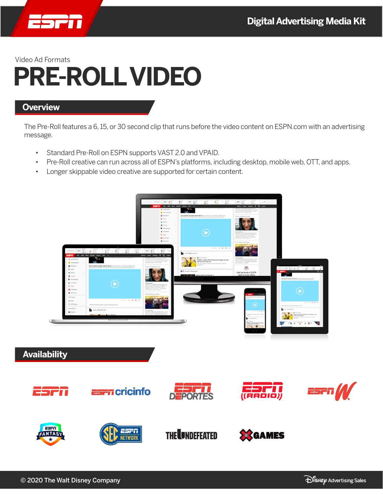

# **PRE-ROLL VIDEO**

### **Overview**

The Pre-Roll features a 6, 15, or 30 second clip that runs before the video content on ESPN.com with an advertising message.

- • Standard Pre-Roll on ESPN supports VAST 2.0 and VPAID.
- Pre-Roll creative can run across all of ESPN's platforms, including desktop, mobile web, OTT, and apps.
- • Longer skippable video creative are supported for certain content.

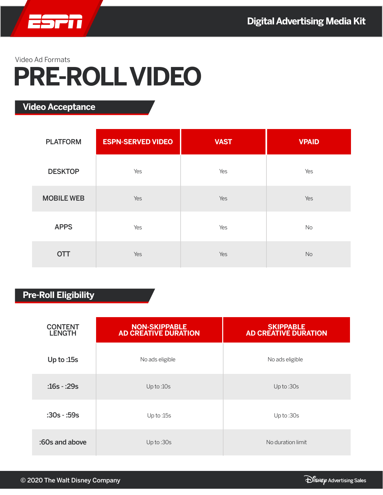

## **PRE-ROLL VIDEO**

**Video Acceptance**

| <b>PLATFORM</b>   | <b>ESPN-SERVED VIDEO</b> | <b>VAST</b> | <b>VPAID</b> |
|-------------------|--------------------------|-------------|--------------|
| <b>DESKTOP</b>    | Yes                      | Yes         | Yes          |
| <b>MOBILE WEB</b> | Yes                      | Yes         | Yes          |
| <b>APPS</b>       | Yes                      | Yes         | No           |
| <b>OTT</b>        | Yes                      | Yes         | No           |

### **Pre-Roll Eligibility**

| <b>CONTENT</b><br><b>LENGTH</b> | <b>NON-SKIPPABLE</b><br><b>AD CREATIVE DURATION</b> | <b>SKIPPABLE</b><br><b>AD CREATIVE DURATION</b> |  |
|---------------------------------|-----------------------------------------------------|-------------------------------------------------|--|
| Up to $:15s$                    | No ads eligible                                     | No ads eligible                                 |  |
| $:16s - 29s$                    | Up to:10s                                           | Up to :30s                                      |  |
| $:30s - 59s$                    | Up to:15s                                           | Up to:30s                                       |  |
| :60s and above                  | Up to:30s                                           | No duration limit                               |  |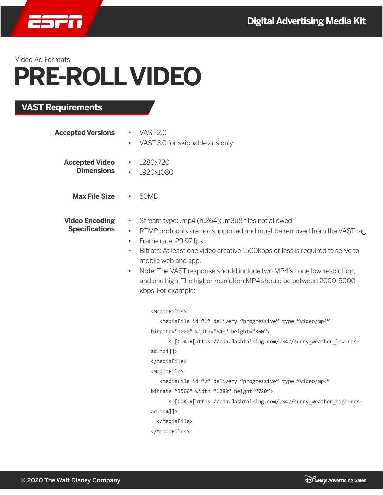

## **PRE-ROLL VIDEO**

### **VAST Requirements**

| VAST 2.0<br>$\bullet$<br>VAST 3.0 for skippable ads only                                                                                                                                                                                                                                                                                                                                                                                                                                                                     |
|------------------------------------------------------------------------------------------------------------------------------------------------------------------------------------------------------------------------------------------------------------------------------------------------------------------------------------------------------------------------------------------------------------------------------------------------------------------------------------------------------------------------------|
| 1280x720<br>$\bullet$<br>1920x1080<br>$\bullet$                                                                                                                                                                                                                                                                                                                                                                                                                                                                              |
| <b>50MB</b>                                                                                                                                                                                                                                                                                                                                                                                                                                                                                                                  |
| Stream type: .mp4 (h.264); .m3u8 files not allowed<br>$\bullet$<br>RTMP protocols are not supported and must be removed from the VAST tag<br>$\bullet$<br>Frame rate: 29.97 fps<br>$\bullet$<br>Bitrate: At least one video creative 1500kbps or less is required to serve to<br>$\bullet$<br>mobile web and app.<br>Note: The VAST response should include two MP4's - one low-resolution,<br>$\bullet$<br>and one high. The higher resolution MP4 should be between 2000-5000<br>kbps. For example:                        |
| <mediafiles><br/><mediafile <br="" delivery="progressive" id="1" type="video/mp4">bitrate="1000" width="640" height="360"&gt;<br/><!-- [CDATA[https://cdn.flashtalking.com/2342/sunny_weather_low-res-<br--><math>admp4</math>] &gt;<br/></mediafile><br/><mediafile><br/><mediafile <br="" delivery="progressive" id="2" type="video/mp4">bitrate="3500" width="1280" height="720"&gt;<br/><!-- [CDATA[https://cdn.flashtalking.com/2342/sunny_weather_high-res-<br-->admp4]<br/></mediafile><br/></mediafile></mediafiles> |
|                                                                                                                                                                                                                                                                                                                                                                                                                                                                                                                              |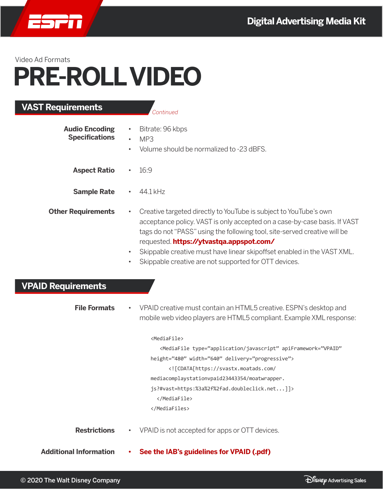

L

## **PRE-ROLL VIDEO**

| <b>VAST Requirements</b>                       |           | Continued                                                                                                                                                                                                                                                                                                                                                                                                   |
|------------------------------------------------|-----------|-------------------------------------------------------------------------------------------------------------------------------------------------------------------------------------------------------------------------------------------------------------------------------------------------------------------------------------------------------------------------------------------------------------|
| <b>Audio Encoding</b><br><b>Specifications</b> |           | Bitrate: 96 kbps<br>MP3<br>Volume should be normalized to -23 dBFS.                                                                                                                                                                                                                                                                                                                                         |
| <b>Aspect Ratio</b>                            |           | 16:9                                                                                                                                                                                                                                                                                                                                                                                                        |
| <b>Sample Rate</b>                             |           | 44.1 kHz                                                                                                                                                                                                                                                                                                                                                                                                    |
| <b>Other Requirements</b>                      | $\bullet$ | Creative targeted directly to YouTube is subject to YouTube's own<br>acceptance policy. VAST is only accepted on a case-by-case basis. If VAST<br>tags do not "PASS" using the following tool, site-served creative will be<br>requested. https://ytvastqa.appspot.com/<br>Skippable creative must have linear skipoffset enabled in the VAST XML.<br>Skippable creative are not supported for OTT devices. |
| <b>VPAID Requirements</b>                      |           |                                                                                                                                                                                                                                                                                                                                                                                                             |
| <b>File Formats</b>                            |           | VPAID creative must contain an HTML5 creative. ESPN's desktop and<br>mobile web video players are HTML5 compliant. Example XML response:                                                                                                                                                                                                                                                                    |
|                                                |           | <mediafile><br/><mediafile <br="" apiframework="VPAID" type="application/javascript">height="480" width="640" delivery="progressive"&gt;<br/><!-- [CDATA[https://svastx.moatads.com/<br-->mediacomplaystationvpaid23443354/moatwrapper.<br/>js?#vast=https:%3a%2f%2fad.doubleclick.net]]&gt;<br/></mediafile><br/></mediafile>                                                                              |
| <b>Restrictions</b>                            |           | VPAID is not accepted for apps or OTT devices.                                                                                                                                                                                                                                                                                                                                                              |
| <b>Additional Information</b>                  |           | See the IAB's guidelines for VPAID (.pdf)                                                                                                                                                                                                                                                                                                                                                                   |